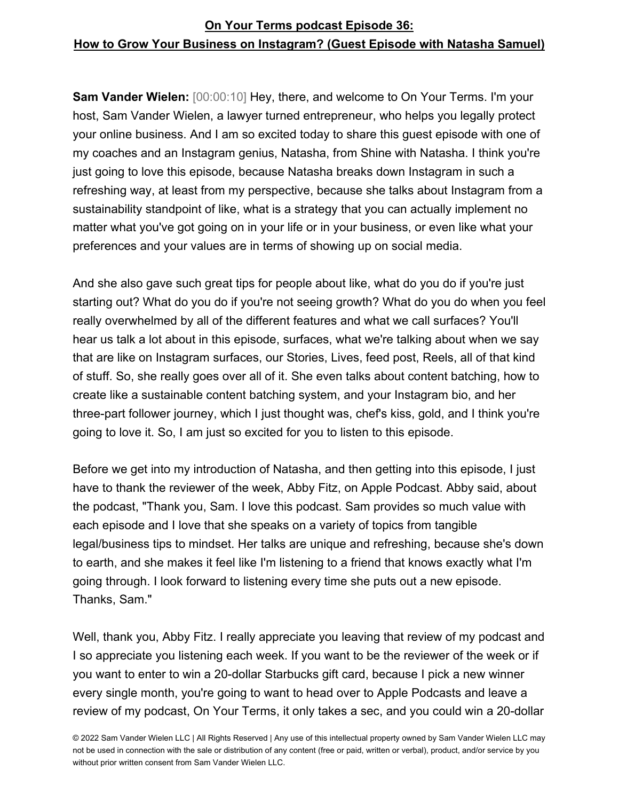**Sam Vander Wielen:** [00:00:10] Hey, there, and welcome to On Your Terms. I'm your host, Sam Vander Wielen, a lawyer turned entrepreneur, who helps you legally protect your online business. And I am so excited today to share this guest episode with one of my coaches and an Instagram genius, Natasha, from Shine with Natasha. I think you're just going to love this episode, because Natasha breaks down Instagram in such a refreshing way, at least from my perspective, because she talks about Instagram from a sustainability standpoint of like, what is a strategy that you can actually implement no matter what you've got going on in your life or in your business, or even like what your preferences and your values are in terms of showing up on social media.

And she also gave such great tips for people about like, what do you do if you're just starting out? What do you do if you're not seeing growth? What do you do when you feel really overwhelmed by all of the different features and what we call surfaces? You'll hear us talk a lot about in this episode, surfaces, what we're talking about when we say that are like on Instagram surfaces, our Stories, Lives, feed post, Reels, all of that kind of stuff. So, she really goes over all of it. She even talks about content batching, how to create like a sustainable content batching system, and your Instagram bio, and her three-part follower journey, which I just thought was, chef's kiss, gold, and I think you're going to love it. So, I am just so excited for you to listen to this episode.

Before we get into my introduction of Natasha, and then getting into this episode, I just have to thank the reviewer of the week, Abby Fitz, on Apple Podcast. Abby said, about the podcast, "Thank you, Sam. I love this podcast. Sam provides so much value with each episode and I love that she speaks on a variety of topics from tangible legal/business tips to mindset. Her talks are unique and refreshing, because she's down to earth, and she makes it feel like I'm listening to a friend that knows exactly what I'm going through. I look forward to listening every time she puts out a new episode. Thanks, Sam."

Well, thank you, Abby Fitz. I really appreciate you leaving that review of my podcast and I so appreciate you listening each week. If you want to be the reviewer of the week or if you want to enter to win a 20-dollar Starbucks gift card, because I pick a new winner every single month, you're going to want to head over to Apple Podcasts and leave a review of my podcast, On Your Terms, it only takes a sec, and you could win a 20-dollar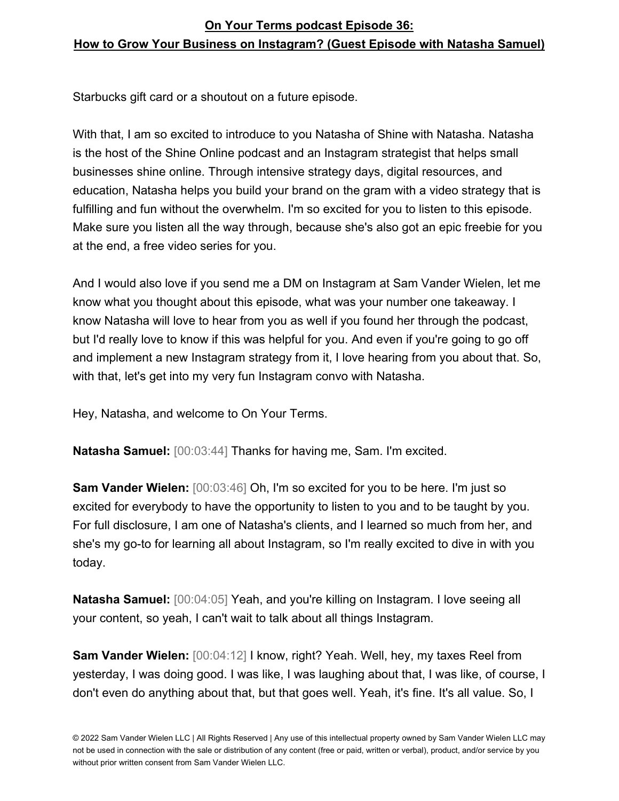Starbucks gift card or a shoutout on a future episode.

With that, I am so excited to introduce to you Natasha of Shine with Natasha. Natasha is the host of the Shine Online podcast and an Instagram strategist that helps small businesses shine online. Through intensive strategy days, digital resources, and education, Natasha helps you build your brand on the gram with a video strategy that is fulfilling and fun without the overwhelm. I'm so excited for you to listen to this episode. Make sure you listen all the way through, because she's also got an epic freebie for you at the end, a free video series for you.

And I would also love if you send me a DM on Instagram at Sam Vander Wielen, let me know what you thought about this episode, what was your number one takeaway. I know Natasha will love to hear from you as well if you found her through the podcast, but I'd really love to know if this was helpful for you. And even if you're going to go off and implement a new Instagram strategy from it, I love hearing from you about that. So, with that, let's get into my very fun Instagram convo with Natasha.

Hey, Natasha, and welcome to On Your Terms.

**Natasha Samuel:** [00:03:44] Thanks for having me, Sam. I'm excited.

**Sam Vander Wielen:** [00:03:46] Oh, I'm so excited for you to be here. I'm just so excited for everybody to have the opportunity to listen to you and to be taught by you. For full disclosure, I am one of Natasha's clients, and I learned so much from her, and she's my go-to for learning all about Instagram, so I'm really excited to dive in with you today.

**Natasha Samuel:** [00:04:05] Yeah, and you're killing on Instagram. I love seeing all your content, so yeah, I can't wait to talk about all things Instagram.

**Sam Vander Wielen:** [00:04:12] I know, right? Yeah. Well, hey, my taxes Reel from yesterday, I was doing good. I was like, I was laughing about that, I was like, of course, I don't even do anything about that, but that goes well. Yeah, it's fine. It's all value. So, I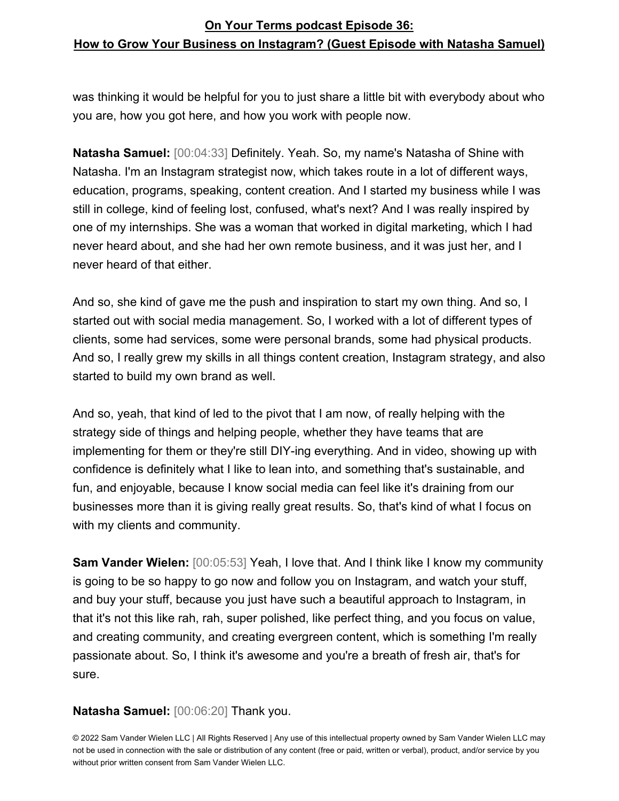was thinking it would be helpful for you to just share a little bit with everybody about who you are, how you got here, and how you work with people now.

**Natasha Samuel:** [00:04:33] Definitely. Yeah. So, my name's Natasha of Shine with Natasha. I'm an Instagram strategist now, which takes route in a lot of different ways, education, programs, speaking, content creation. And I started my business while I was still in college, kind of feeling lost, confused, what's next? And I was really inspired by one of my internships. She was a woman that worked in digital marketing, which I had never heard about, and she had her own remote business, and it was just her, and I never heard of that either.

And so, she kind of gave me the push and inspiration to start my own thing. And so, I started out with social media management. So, I worked with a lot of different types of clients, some had services, some were personal brands, some had physical products. And so, I really grew my skills in all things content creation, Instagram strategy, and also started to build my own brand as well.

And so, yeah, that kind of led to the pivot that I am now, of really helping with the strategy side of things and helping people, whether they have teams that are implementing for them or they're still DIY-ing everything. And in video, showing up with confidence is definitely what I like to lean into, and something that's sustainable, and fun, and enjoyable, because I know social media can feel like it's draining from our businesses more than it is giving really great results. So, that's kind of what I focus on with my clients and community.

**Sam Vander Wielen:** [00:05:53] Yeah, I love that. And I think like I know my community is going to be so happy to go now and follow you on Instagram, and watch your stuff, and buy your stuff, because you just have such a beautiful approach to Instagram, in that it's not this like rah, rah, super polished, like perfect thing, and you focus on value, and creating community, and creating evergreen content, which is something I'm really passionate about. So, I think it's awesome and you're a breath of fresh air, that's for sure.

## **Natasha Samuel:** [00:06:20] Thank you.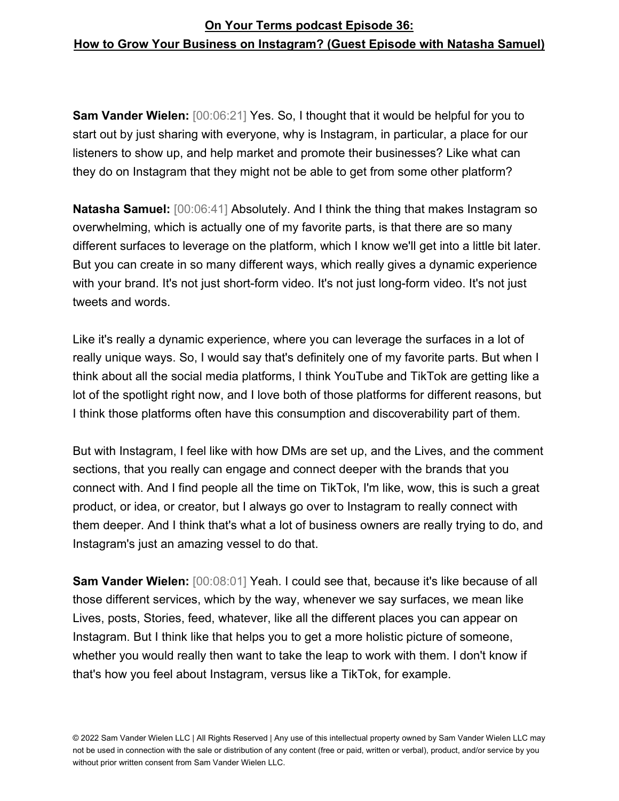**Sam Vander Wielen:** [00:06:21] Yes. So, I thought that it would be helpful for you to start out by just sharing with everyone, why is Instagram, in particular, a place for our listeners to show up, and help market and promote their businesses? Like what can they do on Instagram that they might not be able to get from some other platform?

**Natasha Samuel:** [00:06:41] Absolutely. And I think the thing that makes Instagram so overwhelming, which is actually one of my favorite parts, is that there are so many different surfaces to leverage on the platform, which I know we'll get into a little bit later. But you can create in so many different ways, which really gives a dynamic experience with your brand. It's not just short-form video. It's not just long-form video. It's not just tweets and words.

Like it's really a dynamic experience, where you can leverage the surfaces in a lot of really unique ways. So, I would say that's definitely one of my favorite parts. But when I think about all the social media platforms, I think YouTube and TikTok are getting like a lot of the spotlight right now, and I love both of those platforms for different reasons, but I think those platforms often have this consumption and discoverability part of them.

But with Instagram, I feel like with how DMs are set up, and the Lives, and the comment sections, that you really can engage and connect deeper with the brands that you connect with. And I find people all the time on TikTok, I'm like, wow, this is such a great product, or idea, or creator, but I always go over to Instagram to really connect with them deeper. And I think that's what a lot of business owners are really trying to do, and Instagram's just an amazing vessel to do that.

**Sam Vander Wielen:** [00:08:01] Yeah. I could see that, because it's like because of all those different services, which by the way, whenever we say surfaces, we mean like Lives, posts, Stories, feed, whatever, like all the different places you can appear on Instagram. But I think like that helps you to get a more holistic picture of someone, whether you would really then want to take the leap to work with them. I don't know if that's how you feel about Instagram, versus like a TikTok, for example.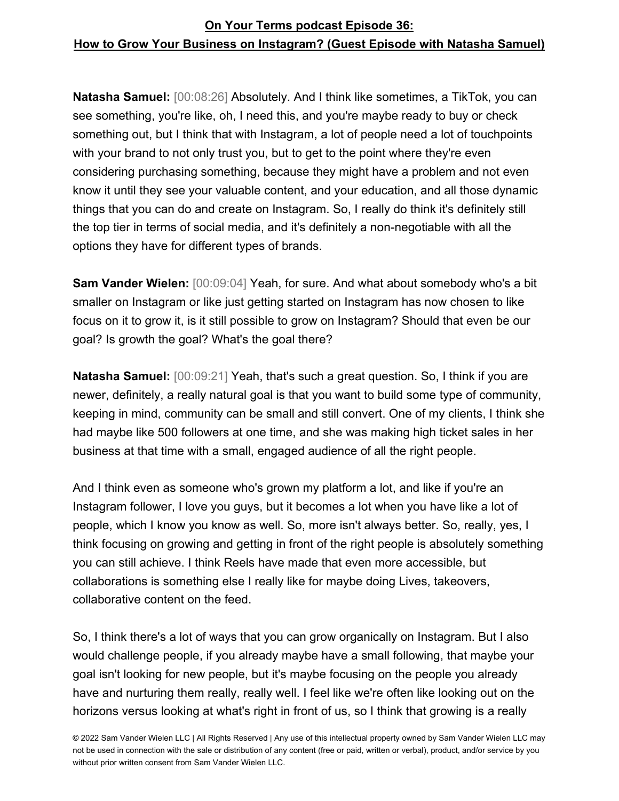**Natasha Samuel:** [00:08:26] Absolutely. And I think like sometimes, a TikTok, you can see something, you're like, oh, I need this, and you're maybe ready to buy or check something out, but I think that with Instagram, a lot of people need a lot of touchpoints with your brand to not only trust you, but to get to the point where they're even considering purchasing something, because they might have a problem and not even know it until they see your valuable content, and your education, and all those dynamic things that you can do and create on Instagram. So, I really do think it's definitely still the top tier in terms of social media, and it's definitely a non-negotiable with all the options they have for different types of brands.

**Sam Vander Wielen:** [00:09:04] Yeah, for sure. And what about somebody who's a bit smaller on Instagram or like just getting started on Instagram has now chosen to like focus on it to grow it, is it still possible to grow on Instagram? Should that even be our goal? Is growth the goal? What's the goal there?

**Natasha Samuel:** [00:09:21] Yeah, that's such a great question. So, I think if you are newer, definitely, a really natural goal is that you want to build some type of community, keeping in mind, community can be small and still convert. One of my clients, I think she had maybe like 500 followers at one time, and she was making high ticket sales in her business at that time with a small, engaged audience of all the right people.

And I think even as someone who's grown my platform a lot, and like if you're an Instagram follower, I love you guys, but it becomes a lot when you have like a lot of people, which I know you know as well. So, more isn't always better. So, really, yes, I think focusing on growing and getting in front of the right people is absolutely something you can still achieve. I think Reels have made that even more accessible, but collaborations is something else I really like for maybe doing Lives, takeovers, collaborative content on the feed.

So, I think there's a lot of ways that you can grow organically on Instagram. But I also would challenge people, if you already maybe have a small following, that maybe your goal isn't looking for new people, but it's maybe focusing on the people you already have and nurturing them really, really well. I feel like we're often like looking out on the horizons versus looking at what's right in front of us, so I think that growing is a really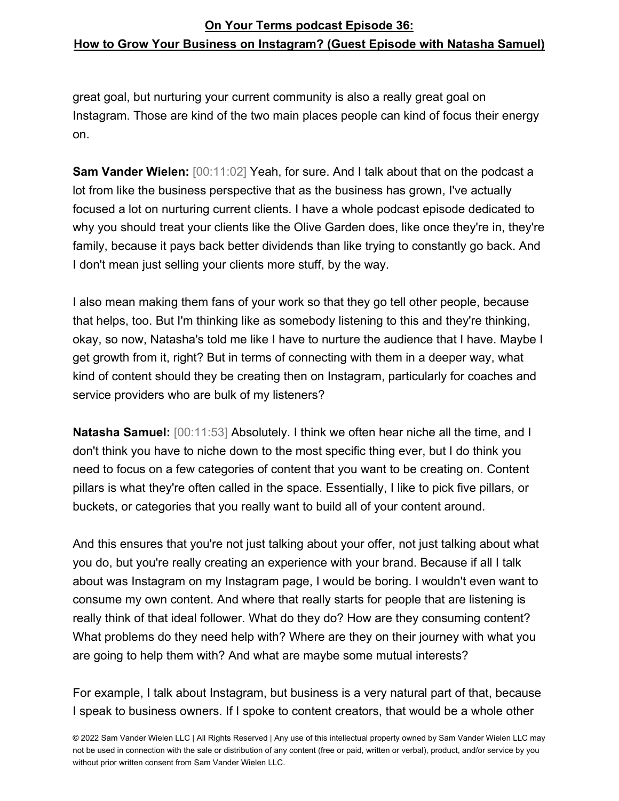great goal, but nurturing your current community is also a really great goal on Instagram. Those are kind of the two main places people can kind of focus their energy on.

**Sam Vander Wielen:** [00:11:02] Yeah, for sure. And I talk about that on the podcast a lot from like the business perspective that as the business has grown, I've actually focused a lot on nurturing current clients. I have a whole podcast episode dedicated to why you should treat your clients like the Olive Garden does, like once they're in, they're family, because it pays back better dividends than like trying to constantly go back. And I don't mean just selling your clients more stuff, by the way.

I also mean making them fans of your work so that they go tell other people, because that helps, too. But I'm thinking like as somebody listening to this and they're thinking, okay, so now, Natasha's told me like I have to nurture the audience that I have. Maybe I get growth from it, right? But in terms of connecting with them in a deeper way, what kind of content should they be creating then on Instagram, particularly for coaches and service providers who are bulk of my listeners?

**Natasha Samuel:** [00:11:53] Absolutely. I think we often hear niche all the time, and I don't think you have to niche down to the most specific thing ever, but I do think you need to focus on a few categories of content that you want to be creating on. Content pillars is what they're often called in the space. Essentially, I like to pick five pillars, or buckets, or categories that you really want to build all of your content around.

And this ensures that you're not just talking about your offer, not just talking about what you do, but you're really creating an experience with your brand. Because if all I talk about was Instagram on my Instagram page, I would be boring. I wouldn't even want to consume my own content. And where that really starts for people that are listening is really think of that ideal follower. What do they do? How are they consuming content? What problems do they need help with? Where are they on their journey with what you are going to help them with? And what are maybe some mutual interests?

For example, I talk about Instagram, but business is a very natural part of that, because I speak to business owners. If I spoke to content creators, that would be a whole other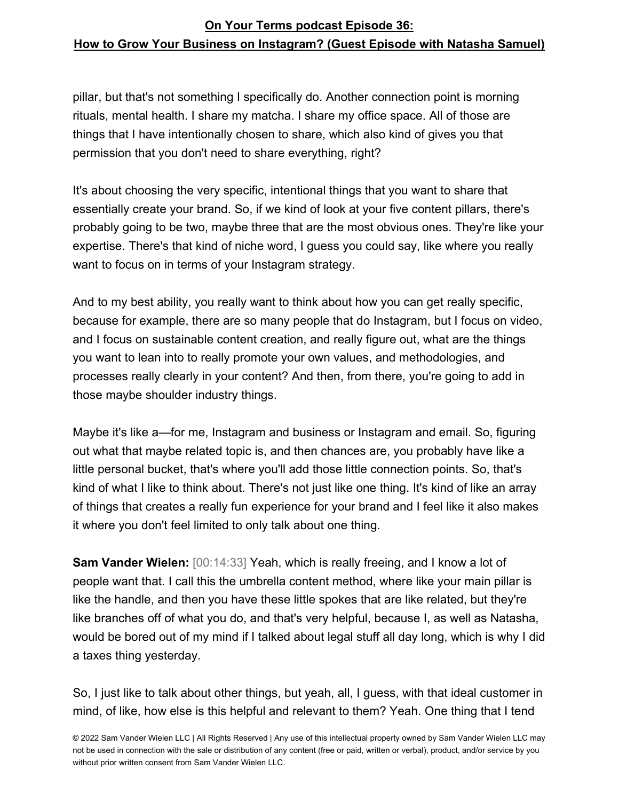pillar, but that's not something I specifically do. Another connection point is morning rituals, mental health. I share my matcha. I share my office space. All of those are things that I have intentionally chosen to share, which also kind of gives you that permission that you don't need to share everything, right?

It's about choosing the very specific, intentional things that you want to share that essentially create your brand. So, if we kind of look at your five content pillars, there's probably going to be two, maybe three that are the most obvious ones. They're like your expertise. There's that kind of niche word, I guess you could say, like where you really want to focus on in terms of your Instagram strategy.

And to my best ability, you really want to think about how you can get really specific, because for example, there are so many people that do Instagram, but I focus on video, and I focus on sustainable content creation, and really figure out, what are the things you want to lean into to really promote your own values, and methodologies, and processes really clearly in your content? And then, from there, you're going to add in those maybe shoulder industry things.

Maybe it's like a—for me, Instagram and business or Instagram and email. So, figuring out what that maybe related topic is, and then chances are, you probably have like a little personal bucket, that's where you'll add those little connection points. So, that's kind of what I like to think about. There's not just like one thing. It's kind of like an array of things that creates a really fun experience for your brand and I feel like it also makes it where you don't feel limited to only talk about one thing.

**Sam Vander Wielen:** [00:14:33] Yeah, which is really freeing, and I know a lot of people want that. I call this the umbrella content method, where like your main pillar is like the handle, and then you have these little spokes that are like related, but they're like branches off of what you do, and that's very helpful, because I, as well as Natasha, would be bored out of my mind if I talked about legal stuff all day long, which is why I did a taxes thing yesterday.

So, I just like to talk about other things, but yeah, all, I guess, with that ideal customer in mind, of like, how else is this helpful and relevant to them? Yeah. One thing that I tend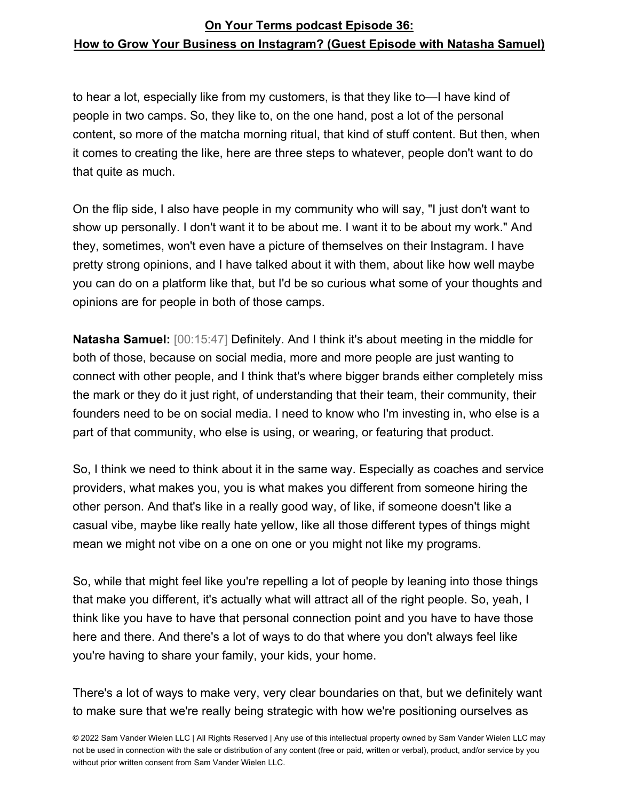to hear a lot, especially like from my customers, is that they like to—I have kind of people in two camps. So, they like to, on the one hand, post a lot of the personal content, so more of the matcha morning ritual, that kind of stuff content. But then, when it comes to creating the like, here are three steps to whatever, people don't want to do that quite as much.

On the flip side, I also have people in my community who will say, "I just don't want to show up personally. I don't want it to be about me. I want it to be about my work." And they, sometimes, won't even have a picture of themselves on their Instagram. I have pretty strong opinions, and I have talked about it with them, about like how well maybe you can do on a platform like that, but I'd be so curious what some of your thoughts and opinions are for people in both of those camps.

**Natasha Samuel:** [00:15:47] Definitely. And I think it's about meeting in the middle for both of those, because on social media, more and more people are just wanting to connect with other people, and I think that's where bigger brands either completely miss the mark or they do it just right, of understanding that their team, their community, their founders need to be on social media. I need to know who I'm investing in, who else is a part of that community, who else is using, or wearing, or featuring that product.

So, I think we need to think about it in the same way. Especially as coaches and service providers, what makes you, you is what makes you different from someone hiring the other person. And that's like in a really good way, of like, if someone doesn't like a casual vibe, maybe like really hate yellow, like all those different types of things might mean we might not vibe on a one on one or you might not like my programs.

So, while that might feel like you're repelling a lot of people by leaning into those things that make you different, it's actually what will attract all of the right people. So, yeah, I think like you have to have that personal connection point and you have to have those here and there. And there's a lot of ways to do that where you don't always feel like you're having to share your family, your kids, your home.

There's a lot of ways to make very, very clear boundaries on that, but we definitely want to make sure that we're really being strategic with how we're positioning ourselves as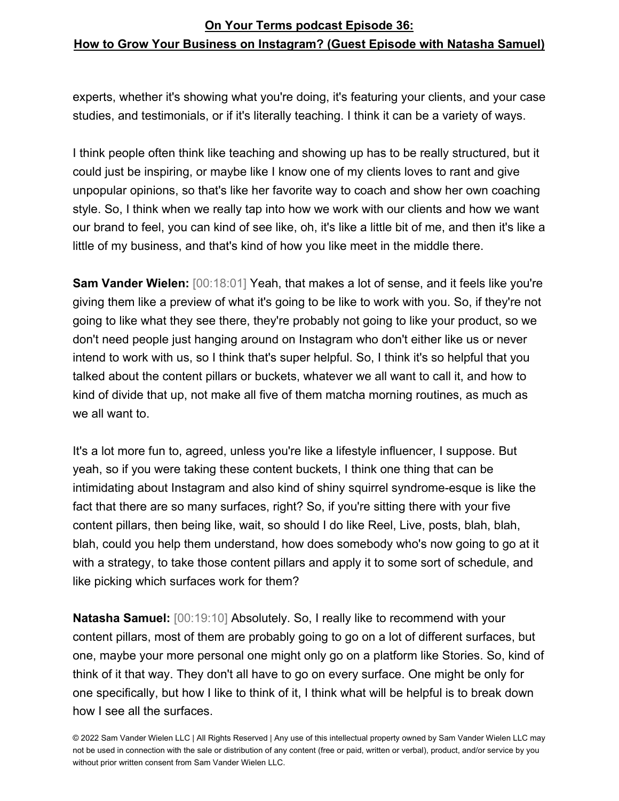experts, whether it's showing what you're doing, it's featuring your clients, and your case studies, and testimonials, or if it's literally teaching. I think it can be a variety of ways.

I think people often think like teaching and showing up has to be really structured, but it could just be inspiring, or maybe like I know one of my clients loves to rant and give unpopular opinions, so that's like her favorite way to coach and show her own coaching style. So, I think when we really tap into how we work with our clients and how we want our brand to feel, you can kind of see like, oh, it's like a little bit of me, and then it's like a little of my business, and that's kind of how you like meet in the middle there.

**Sam Vander Wielen:** [00:18:01] Yeah, that makes a lot of sense, and it feels like you're giving them like a preview of what it's going to be like to work with you. So, if they're not going to like what they see there, they're probably not going to like your product, so we don't need people just hanging around on Instagram who don't either like us or never intend to work with us, so I think that's super helpful. So, I think it's so helpful that you talked about the content pillars or buckets, whatever we all want to call it, and how to kind of divide that up, not make all five of them matcha morning routines, as much as we all want to.

It's a lot more fun to, agreed, unless you're like a lifestyle influencer, I suppose. But yeah, so if you were taking these content buckets, I think one thing that can be intimidating about Instagram and also kind of shiny squirrel syndrome-esque is like the fact that there are so many surfaces, right? So, if you're sitting there with your five content pillars, then being like, wait, so should I do like Reel, Live, posts, blah, blah, blah, could you help them understand, how does somebody who's now going to go at it with a strategy, to take those content pillars and apply it to some sort of schedule, and like picking which surfaces work for them?

**Natasha Samuel:** [00:19:10] Absolutely. So, I really like to recommend with your content pillars, most of them are probably going to go on a lot of different surfaces, but one, maybe your more personal one might only go on a platform like Stories. So, kind of think of it that way. They don't all have to go on every surface. One might be only for one specifically, but how I like to think of it, I think what will be helpful is to break down how I see all the surfaces.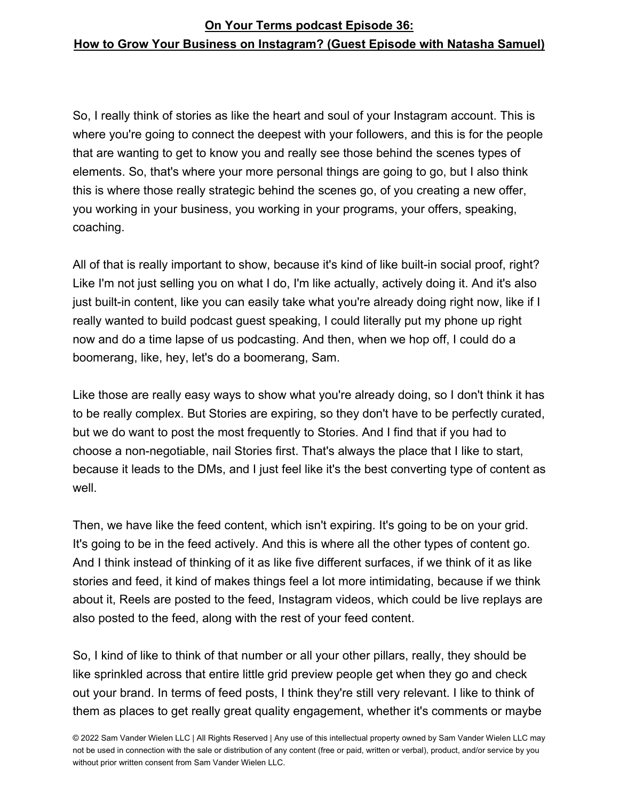So, I really think of stories as like the heart and soul of your Instagram account. This is where you're going to connect the deepest with your followers, and this is for the people that are wanting to get to know you and really see those behind the scenes types of elements. So, that's where your more personal things are going to go, but I also think this is where those really strategic behind the scenes go, of you creating a new offer, you working in your business, you working in your programs, your offers, speaking, coaching.

All of that is really important to show, because it's kind of like built-in social proof, right? Like I'm not just selling you on what I do, I'm like actually, actively doing it. And it's also just built-in content, like you can easily take what you're already doing right now, like if I really wanted to build podcast guest speaking, I could literally put my phone up right now and do a time lapse of us podcasting. And then, when we hop off, I could do a boomerang, like, hey, let's do a boomerang, Sam.

Like those are really easy ways to show what you're already doing, so I don't think it has to be really complex. But Stories are expiring, so they don't have to be perfectly curated, but we do want to post the most frequently to Stories. And I find that if you had to choose a non-negotiable, nail Stories first. That's always the place that I like to start, because it leads to the DMs, and I just feel like it's the best converting type of content as well.

Then, we have like the feed content, which isn't expiring. It's going to be on your grid. It's going to be in the feed actively. And this is where all the other types of content go. And I think instead of thinking of it as like five different surfaces, if we think of it as like stories and feed, it kind of makes things feel a lot more intimidating, because if we think about it, Reels are posted to the feed, Instagram videos, which could be live replays are also posted to the feed, along with the rest of your feed content.

So, I kind of like to think of that number or all your other pillars, really, they should be like sprinkled across that entire little grid preview people get when they go and check out your brand. In terms of feed posts, I think they're still very relevant. I like to think of them as places to get really great quality engagement, whether it's comments or maybe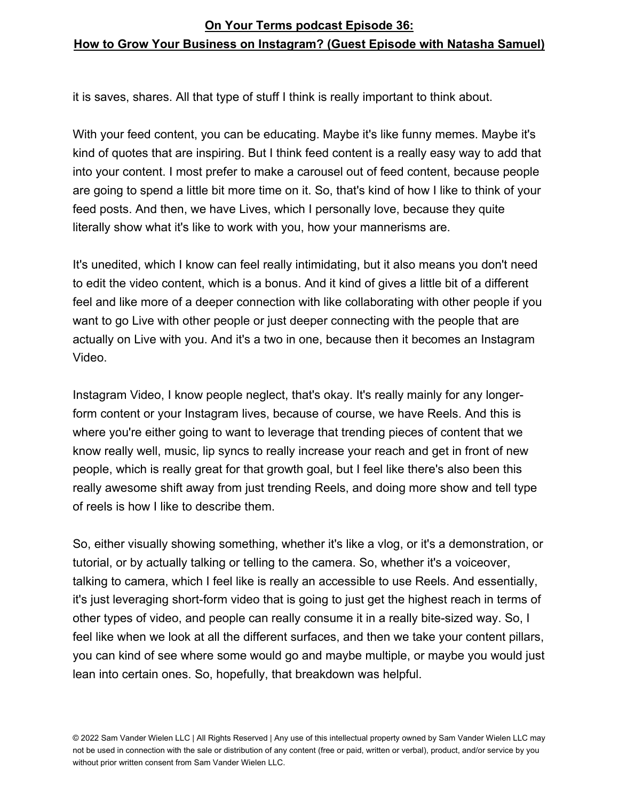it is saves, shares. All that type of stuff I think is really important to think about.

With your feed content, you can be educating. Maybe it's like funny memes. Maybe it's kind of quotes that are inspiring. But I think feed content is a really easy way to add that into your content. I most prefer to make a carousel out of feed content, because people are going to spend a little bit more time on it. So, that's kind of how I like to think of your feed posts. And then, we have Lives, which I personally love, because they quite literally show what it's like to work with you, how your mannerisms are.

It's unedited, which I know can feel really intimidating, but it also means you don't need to edit the video content, which is a bonus. And it kind of gives a little bit of a different feel and like more of a deeper connection with like collaborating with other people if you want to go Live with other people or just deeper connecting with the people that are actually on Live with you. And it's a two in one, because then it becomes an Instagram Video.

Instagram Video, I know people neglect, that's okay. It's really mainly for any longerform content or your Instagram lives, because of course, we have Reels. And this is where you're either going to want to leverage that trending pieces of content that we know really well, music, lip syncs to really increase your reach and get in front of new people, which is really great for that growth goal, but I feel like there's also been this really awesome shift away from just trending Reels, and doing more show and tell type of reels is how I like to describe them.

So, either visually showing something, whether it's like a vlog, or it's a demonstration, or tutorial, or by actually talking or telling to the camera. So, whether it's a voiceover, talking to camera, which I feel like is really an accessible to use Reels. And essentially, it's just leveraging short-form video that is going to just get the highest reach in terms of other types of video, and people can really consume it in a really bite-sized way. So, I feel like when we look at all the different surfaces, and then we take your content pillars, you can kind of see where some would go and maybe multiple, or maybe you would just lean into certain ones. So, hopefully, that breakdown was helpful.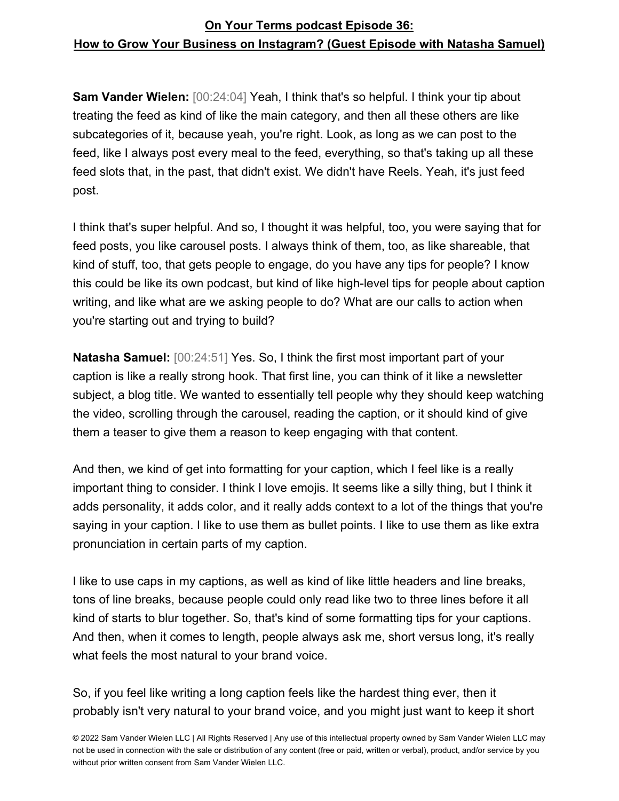**Sam Vander Wielen:** [00:24:04] Yeah, I think that's so helpful. I think your tip about treating the feed as kind of like the main category, and then all these others are like subcategories of it, because yeah, you're right. Look, as long as we can post to the feed, like I always post every meal to the feed, everything, so that's taking up all these feed slots that, in the past, that didn't exist. We didn't have Reels. Yeah, it's just feed post.

I think that's super helpful. And so, I thought it was helpful, too, you were saying that for feed posts, you like carousel posts. I always think of them, too, as like shareable, that kind of stuff, too, that gets people to engage, do you have any tips for people? I know this could be like its own podcast, but kind of like high-level tips for people about caption writing, and like what are we asking people to do? What are our calls to action when you're starting out and trying to build?

**Natasha Samuel:** [00:24:51] Yes. So, I think the first most important part of your caption is like a really strong hook. That first line, you can think of it like a newsletter subject, a blog title. We wanted to essentially tell people why they should keep watching the video, scrolling through the carousel, reading the caption, or it should kind of give them a teaser to give them a reason to keep engaging with that content.

And then, we kind of get into formatting for your caption, which I feel like is a really important thing to consider. I think I love emojis. It seems like a silly thing, but I think it adds personality, it adds color, and it really adds context to a lot of the things that you're saying in your caption. I like to use them as bullet points. I like to use them as like extra pronunciation in certain parts of my caption.

I like to use caps in my captions, as well as kind of like little headers and line breaks, tons of line breaks, because people could only read like two to three lines before it all kind of starts to blur together. So, that's kind of some formatting tips for your captions. And then, when it comes to length, people always ask me, short versus long, it's really what feels the most natural to your brand voice.

So, if you feel like writing a long caption feels like the hardest thing ever, then it probably isn't very natural to your brand voice, and you might just want to keep it short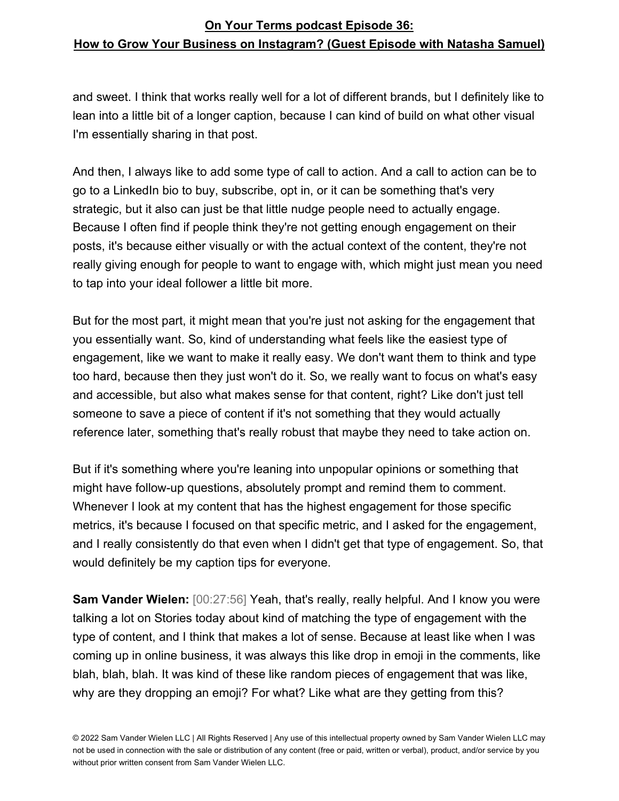and sweet. I think that works really well for a lot of different brands, but I definitely like to lean into a little bit of a longer caption, because I can kind of build on what other visual I'm essentially sharing in that post.

And then, I always like to add some type of call to action. And a call to action can be to go to a LinkedIn bio to buy, subscribe, opt in, or it can be something that's very strategic, but it also can just be that little nudge people need to actually engage. Because I often find if people think they're not getting enough engagement on their posts, it's because either visually or with the actual context of the content, they're not really giving enough for people to want to engage with, which might just mean you need to tap into your ideal follower a little bit more.

But for the most part, it might mean that you're just not asking for the engagement that you essentially want. So, kind of understanding what feels like the easiest type of engagement, like we want to make it really easy. We don't want them to think and type too hard, because then they just won't do it. So, we really want to focus on what's easy and accessible, but also what makes sense for that content, right? Like don't just tell someone to save a piece of content if it's not something that they would actually reference later, something that's really robust that maybe they need to take action on.

But if it's something where you're leaning into unpopular opinions or something that might have follow-up questions, absolutely prompt and remind them to comment. Whenever I look at my content that has the highest engagement for those specific metrics, it's because I focused on that specific metric, and I asked for the engagement, and I really consistently do that even when I didn't get that type of engagement. So, that would definitely be my caption tips for everyone.

**Sam Vander Wielen:** [00:27:56] Yeah, that's really, really helpful. And I know you were talking a lot on Stories today about kind of matching the type of engagement with the type of content, and I think that makes a lot of sense. Because at least like when I was coming up in online business, it was always this like drop in emoji in the comments, like blah, blah, blah. It was kind of these like random pieces of engagement that was like, why are they dropping an emoji? For what? Like what are they getting from this?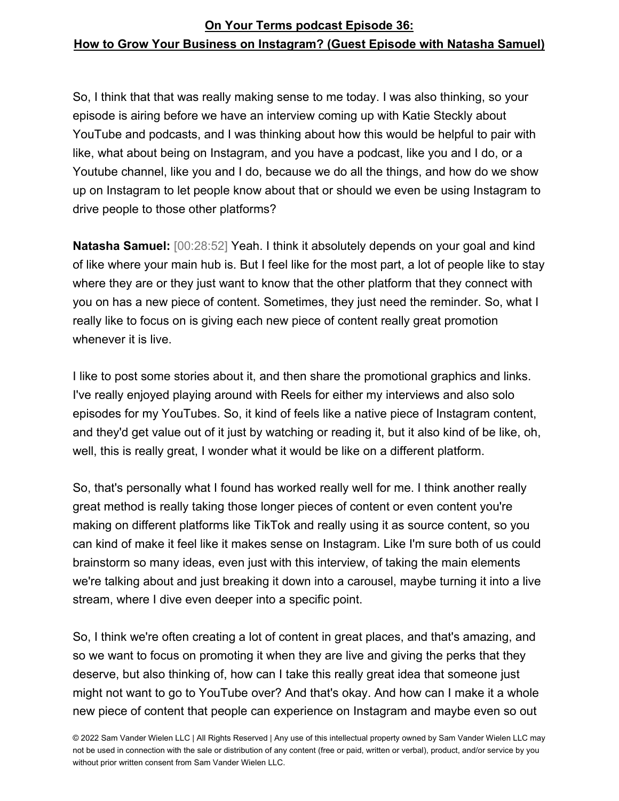So, I think that that was really making sense to me today. I was also thinking, so your episode is airing before we have an interview coming up with Katie Steckly about YouTube and podcasts, and I was thinking about how this would be helpful to pair with like, what about being on Instagram, and you have a podcast, like you and I do, or a Youtube channel, like you and I do, because we do all the things, and how do we show up on Instagram to let people know about that or should we even be using Instagram to drive people to those other platforms?

**Natasha Samuel:** [00:28:52] Yeah. I think it absolutely depends on your goal and kind of like where your main hub is. But I feel like for the most part, a lot of people like to stay where they are or they just want to know that the other platform that they connect with you on has a new piece of content. Sometimes, they just need the reminder. So, what I really like to focus on is giving each new piece of content really great promotion whenever it is live.

I like to post some stories about it, and then share the promotional graphics and links. I've really enjoyed playing around with Reels for either my interviews and also solo episodes for my YouTubes. So, it kind of feels like a native piece of Instagram content, and they'd get value out of it just by watching or reading it, but it also kind of be like, oh, well, this is really great, I wonder what it would be like on a different platform.

So, that's personally what I found has worked really well for me. I think another really great method is really taking those longer pieces of content or even content you're making on different platforms like TikTok and really using it as source content, so you can kind of make it feel like it makes sense on Instagram. Like I'm sure both of us could brainstorm so many ideas, even just with this interview, of taking the main elements we're talking about and just breaking it down into a carousel, maybe turning it into a live stream, where I dive even deeper into a specific point.

So, I think we're often creating a lot of content in great places, and that's amazing, and so we want to focus on promoting it when they are live and giving the perks that they deserve, but also thinking of, how can I take this really great idea that someone just might not want to go to YouTube over? And that's okay. And how can I make it a whole new piece of content that people can experience on Instagram and maybe even so out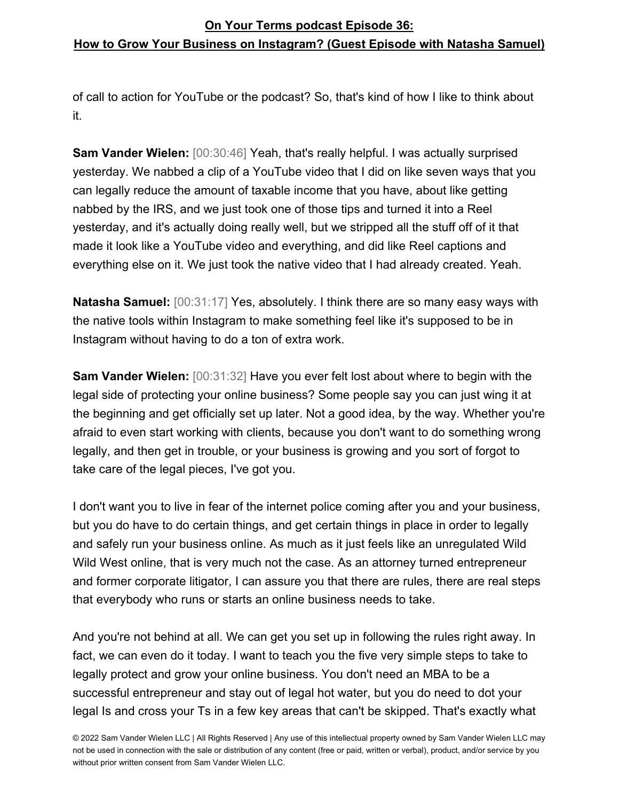of call to action for YouTube or the podcast? So, that's kind of how I like to think about it.

**Sam Vander Wielen:** [00:30:46] Yeah, that's really helpful. I was actually surprised yesterday. We nabbed a clip of a YouTube video that I did on like seven ways that you can legally reduce the amount of taxable income that you have, about like getting nabbed by the IRS, and we just took one of those tips and turned it into a Reel yesterday, and it's actually doing really well, but we stripped all the stuff off of it that made it look like a YouTube video and everything, and did like Reel captions and everything else on it. We just took the native video that I had already created. Yeah.

**Natasha Samuel:** [00:31:17] Yes, absolutely. I think there are so many easy ways with the native tools within Instagram to make something feel like it's supposed to be in Instagram without having to do a ton of extra work.

**Sam Vander Wielen:** [00:31:32] Have you ever felt lost about where to begin with the legal side of protecting your online business? Some people say you can just wing it at the beginning and get officially set up later. Not a good idea, by the way. Whether you're afraid to even start working with clients, because you don't want to do something wrong legally, and then get in trouble, or your business is growing and you sort of forgot to take care of the legal pieces, I've got you.

I don't want you to live in fear of the internet police coming after you and your business, but you do have to do certain things, and get certain things in place in order to legally and safely run your business online. As much as it just feels like an unregulated Wild Wild West online, that is very much not the case. As an attorney turned entrepreneur and former corporate litigator, I can assure you that there are rules, there are real steps that everybody who runs or starts an online business needs to take.

And you're not behind at all. We can get you set up in following the rules right away. In fact, we can even do it today. I want to teach you the five very simple steps to take to legally protect and grow your online business. You don't need an MBA to be a successful entrepreneur and stay out of legal hot water, but you do need to dot your legal Is and cross your Ts in a few key areas that can't be skipped. That's exactly what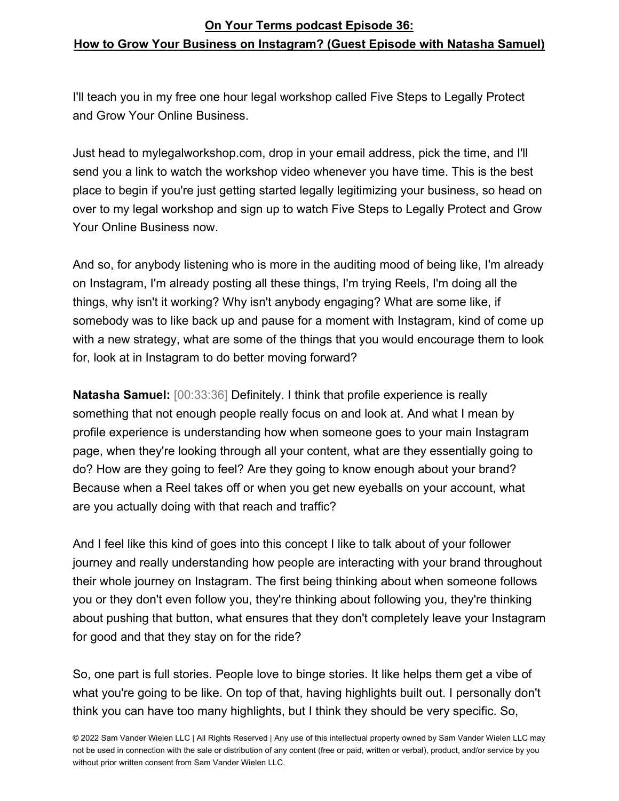I'll teach you in my free one hour legal workshop called Five Steps to Legally Protect and Grow Your Online Business.

Just head to mylegalworkshop.com, drop in your email address, pick the time, and I'll send you a link to watch the workshop video whenever you have time. This is the best place to begin if you're just getting started legally legitimizing your business, so head on over to my legal workshop and sign up to watch Five Steps to Legally Protect and Grow Your Online Business now.

And so, for anybody listening who is more in the auditing mood of being like, I'm already on Instagram, I'm already posting all these things, I'm trying Reels, I'm doing all the things, why isn't it working? Why isn't anybody engaging? What are some like, if somebody was to like back up and pause for a moment with Instagram, kind of come up with a new strategy, what are some of the things that you would encourage them to look for, look at in Instagram to do better moving forward?

**Natasha Samuel:** [00:33:36] Definitely. I think that profile experience is really something that not enough people really focus on and look at. And what I mean by profile experience is understanding how when someone goes to your main Instagram page, when they're looking through all your content, what are they essentially going to do? How are they going to feel? Are they going to know enough about your brand? Because when a Reel takes off or when you get new eyeballs on your account, what are you actually doing with that reach and traffic?

And I feel like this kind of goes into this concept I like to talk about of your follower journey and really understanding how people are interacting with your brand throughout their whole journey on Instagram. The first being thinking about when someone follows you or they don't even follow you, they're thinking about following you, they're thinking about pushing that button, what ensures that they don't completely leave your Instagram for good and that they stay on for the ride?

So, one part is full stories. People love to binge stories. It like helps them get a vibe of what you're going to be like. On top of that, having highlights built out. I personally don't think you can have too many highlights, but I think they should be very specific. So,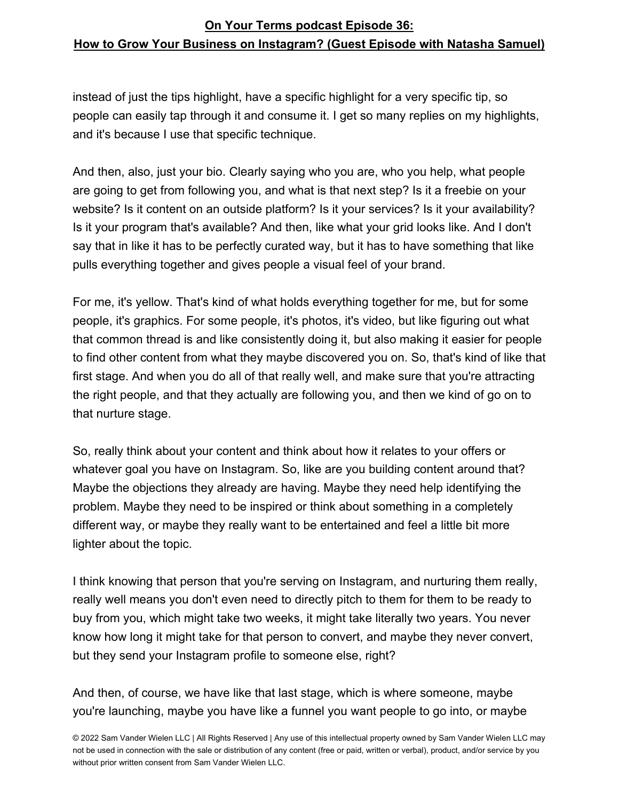instead of just the tips highlight, have a specific highlight for a very specific tip, so people can easily tap through it and consume it. I get so many replies on my highlights, and it's because I use that specific technique.

And then, also, just your bio. Clearly saying who you are, who you help, what people are going to get from following you, and what is that next step? Is it a freebie on your website? Is it content on an outside platform? Is it your services? Is it your availability? Is it your program that's available? And then, like what your grid looks like. And I don't say that in like it has to be perfectly curated way, but it has to have something that like pulls everything together and gives people a visual feel of your brand.

For me, it's yellow. That's kind of what holds everything together for me, but for some people, it's graphics. For some people, it's photos, it's video, but like figuring out what that common thread is and like consistently doing it, but also making it easier for people to find other content from what they maybe discovered you on. So, that's kind of like that first stage. And when you do all of that really well, and make sure that you're attracting the right people, and that they actually are following you, and then we kind of go on to that nurture stage.

So, really think about your content and think about how it relates to your offers or whatever goal you have on Instagram. So, like are you building content around that? Maybe the objections they already are having. Maybe they need help identifying the problem. Maybe they need to be inspired or think about something in a completely different way, or maybe they really want to be entertained and feel a little bit more lighter about the topic.

I think knowing that person that you're serving on Instagram, and nurturing them really, really well means you don't even need to directly pitch to them for them to be ready to buy from you, which might take two weeks, it might take literally two years. You never know how long it might take for that person to convert, and maybe they never convert, but they send your Instagram profile to someone else, right?

And then, of course, we have like that last stage, which is where someone, maybe you're launching, maybe you have like a funnel you want people to go into, or maybe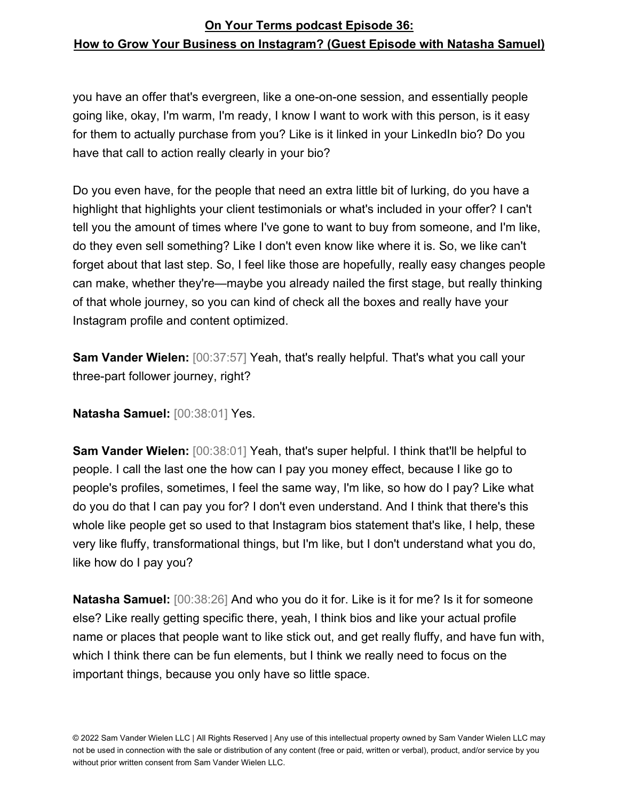you have an offer that's evergreen, like a one-on-one session, and essentially people going like, okay, I'm warm, I'm ready, I know I want to work with this person, is it easy for them to actually purchase from you? Like is it linked in your LinkedIn bio? Do you have that call to action really clearly in your bio?

Do you even have, for the people that need an extra little bit of lurking, do you have a highlight that highlights your client testimonials or what's included in your offer? I can't tell you the amount of times where I've gone to want to buy from someone, and I'm like, do they even sell something? Like I don't even know like where it is. So, we like can't forget about that last step. So, I feel like those are hopefully, really easy changes people can make, whether they're—maybe you already nailed the first stage, but really thinking of that whole journey, so you can kind of check all the boxes and really have your Instagram profile and content optimized.

**Sam Vander Wielen:** [00:37:57] Yeah, that's really helpful. That's what you call your three-part follower journey, right?

**Natasha Samuel:** [00:38:01] Yes.

**Sam Vander Wielen:** [00:38:01] Yeah, that's super helpful. I think that'll be helpful to people. I call the last one the how can I pay you money effect, because I like go to people's profiles, sometimes, I feel the same way, I'm like, so how do I pay? Like what do you do that I can pay you for? I don't even understand. And I think that there's this whole like people get so used to that Instagram bios statement that's like, I help, these very like fluffy, transformational things, but I'm like, but I don't understand what you do, like how do I pay you?

**Natasha Samuel:** [00:38:26] And who you do it for. Like is it for me? Is it for someone else? Like really getting specific there, yeah, I think bios and like your actual profile name or places that people want to like stick out, and get really fluffy, and have fun with, which I think there can be fun elements, but I think we really need to focus on the important things, because you only have so little space.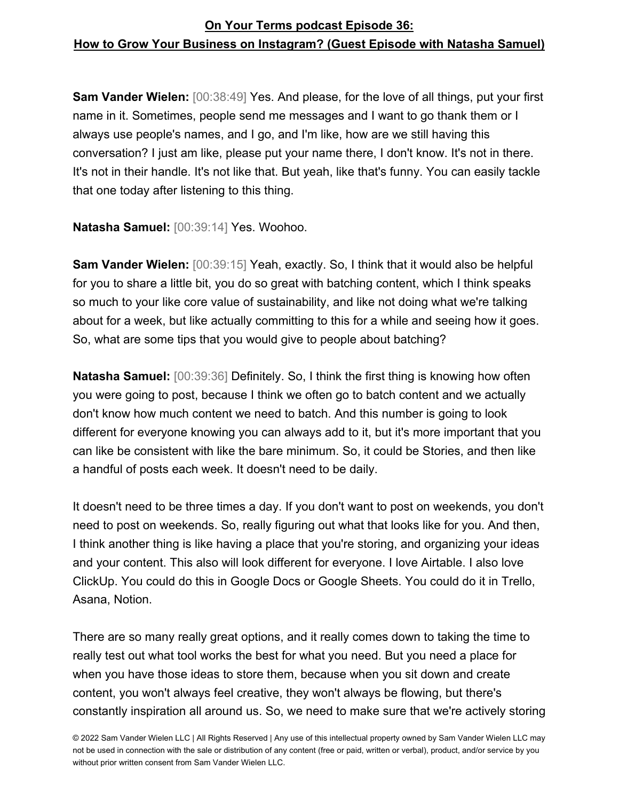**Sam Vander Wielen:** [00:38:49] Yes. And please, for the love of all things, put your first name in it. Sometimes, people send me messages and I want to go thank them or I always use people's names, and I go, and I'm like, how are we still having this conversation? I just am like, please put your name there, I don't know. It's not in there. It's not in their handle. It's not like that. But yeah, like that's funny. You can easily tackle that one today after listening to this thing.

**Natasha Samuel:** [00:39:14] Yes. Woohoo.

**Sam Vander Wielen:** [00:39:15] Yeah, exactly. So, I think that it would also be helpful for you to share a little bit, you do so great with batching content, which I think speaks so much to your like core value of sustainability, and like not doing what we're talking about for a week, but like actually committing to this for a while and seeing how it goes. So, what are some tips that you would give to people about batching?

**Natasha Samuel:** [00:39:36] Definitely. So, I think the first thing is knowing how often you were going to post, because I think we often go to batch content and we actually don't know how much content we need to batch. And this number is going to look different for everyone knowing you can always add to it, but it's more important that you can like be consistent with like the bare minimum. So, it could be Stories, and then like a handful of posts each week. It doesn't need to be daily.

It doesn't need to be three times a day. If you don't want to post on weekends, you don't need to post on weekends. So, really figuring out what that looks like for you. And then, I think another thing is like having a place that you're storing, and organizing your ideas and your content. This also will look different for everyone. I love Airtable. I also love ClickUp. You could do this in Google Docs or Google Sheets. You could do it in Trello, Asana, Notion.

There are so many really great options, and it really comes down to taking the time to really test out what tool works the best for what you need. But you need a place for when you have those ideas to store them, because when you sit down and create content, you won't always feel creative, they won't always be flowing, but there's constantly inspiration all around us. So, we need to make sure that we're actively storing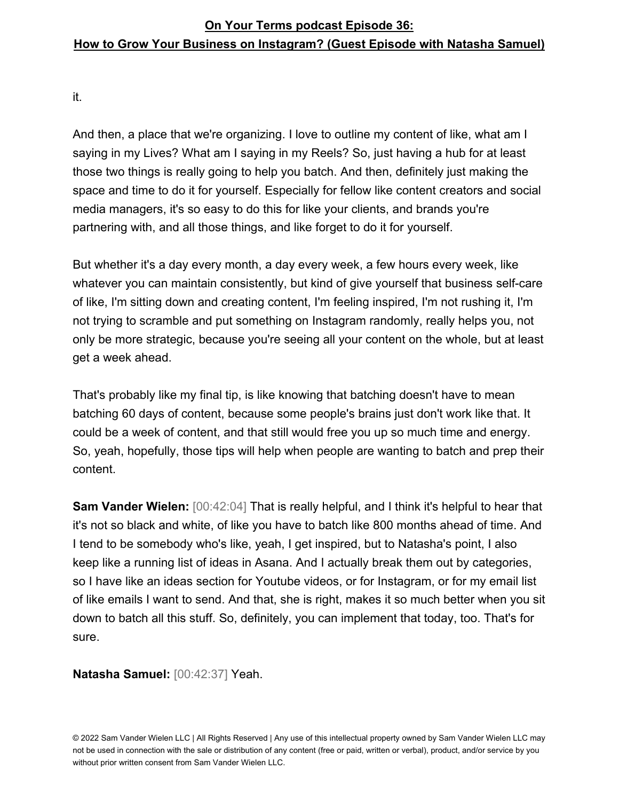it.

And then, a place that we're organizing. I love to outline my content of like, what am I saying in my Lives? What am I saying in my Reels? So, just having a hub for at least those two things is really going to help you batch. And then, definitely just making the space and time to do it for yourself. Especially for fellow like content creators and social media managers, it's so easy to do this for like your clients, and brands you're partnering with, and all those things, and like forget to do it for yourself.

But whether it's a day every month, a day every week, a few hours every week, like whatever you can maintain consistently, but kind of give yourself that business self-care of like, I'm sitting down and creating content, I'm feeling inspired, I'm not rushing it, I'm not trying to scramble and put something on Instagram randomly, really helps you, not only be more strategic, because you're seeing all your content on the whole, but at least get a week ahead.

That's probably like my final tip, is like knowing that batching doesn't have to mean batching 60 days of content, because some people's brains just don't work like that. It could be a week of content, and that still would free you up so much time and energy. So, yeah, hopefully, those tips will help when people are wanting to batch and prep their content.

**Sam Vander Wielen:** [00:42:04] That is really helpful, and I think it's helpful to hear that it's not so black and white, of like you have to batch like 800 months ahead of time. And I tend to be somebody who's like, yeah, I get inspired, but to Natasha's point, I also keep like a running list of ideas in Asana. And I actually break them out by categories, so I have like an ideas section for Youtube videos, or for Instagram, or for my email list of like emails I want to send. And that, she is right, makes it so much better when you sit down to batch all this stuff. So, definitely, you can implement that today, too. That's for sure.

**Natasha Samuel:** [00:42:37] Yeah.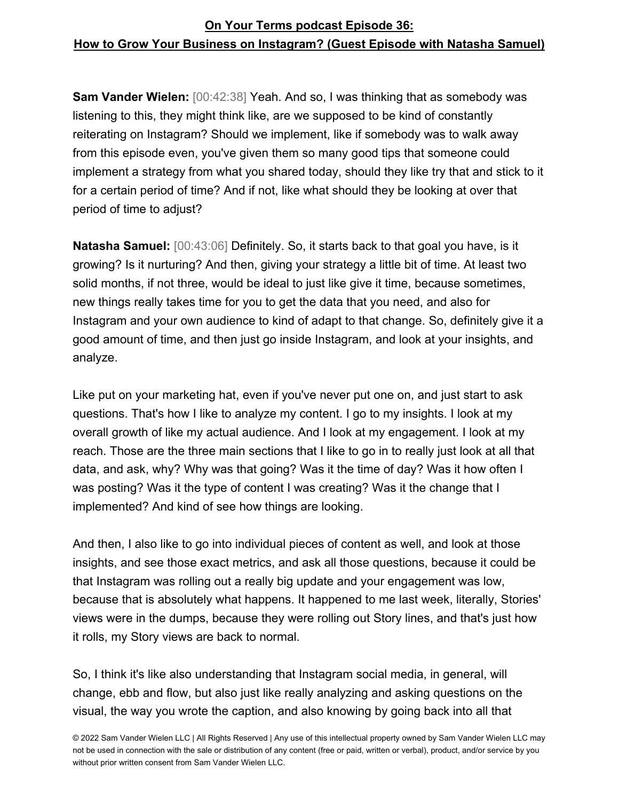**Sam Vander Wielen:** [00:42:38] Yeah. And so, I was thinking that as somebody was listening to this, they might think like, are we supposed to be kind of constantly reiterating on Instagram? Should we implement, like if somebody was to walk away from this episode even, you've given them so many good tips that someone could implement a strategy from what you shared today, should they like try that and stick to it for a certain period of time? And if not, like what should they be looking at over that period of time to adjust?

**Natasha Samuel:** [00:43:06] Definitely. So, it starts back to that goal you have, is it growing? Is it nurturing? And then, giving your strategy a little bit of time. At least two solid months, if not three, would be ideal to just like give it time, because sometimes, new things really takes time for you to get the data that you need, and also for Instagram and your own audience to kind of adapt to that change. So, definitely give it a good amount of time, and then just go inside Instagram, and look at your insights, and analyze.

Like put on your marketing hat, even if you've never put one on, and just start to ask questions. That's how I like to analyze my content. I go to my insights. I look at my overall growth of like my actual audience. And I look at my engagement. I look at my reach. Those are the three main sections that I like to go in to really just look at all that data, and ask, why? Why was that going? Was it the time of day? Was it how often I was posting? Was it the type of content I was creating? Was it the change that I implemented? And kind of see how things are looking.

And then, I also like to go into individual pieces of content as well, and look at those insights, and see those exact metrics, and ask all those questions, because it could be that Instagram was rolling out a really big update and your engagement was low, because that is absolutely what happens. It happened to me last week, literally, Stories' views were in the dumps, because they were rolling out Story lines, and that's just how it rolls, my Story views are back to normal.

So, I think it's like also understanding that Instagram social media, in general, will change, ebb and flow, but also just like really analyzing and asking questions on the visual, the way you wrote the caption, and also knowing by going back into all that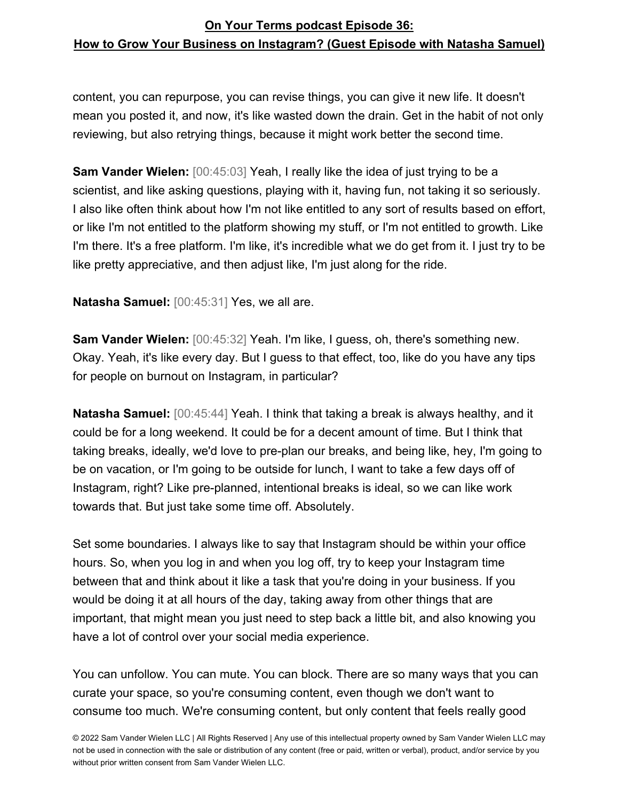content, you can repurpose, you can revise things, you can give it new life. It doesn't mean you posted it, and now, it's like wasted down the drain. Get in the habit of not only reviewing, but also retrying things, because it might work better the second time.

**Sam Vander Wielen:** [00:45:03] Yeah, I really like the idea of just trying to be a scientist, and like asking questions, playing with it, having fun, not taking it so seriously. I also like often think about how I'm not like entitled to any sort of results based on effort, or like I'm not entitled to the platform showing my stuff, or I'm not entitled to growth. Like I'm there. It's a free platform. I'm like, it's incredible what we do get from it. I just try to be like pretty appreciative, and then adjust like, I'm just along for the ride.

**Natasha Samuel:** [00:45:31] Yes, we all are.

**Sam Vander Wielen:** [00:45:32] Yeah. I'm like, I guess, oh, there's something new. Okay. Yeah, it's like every day. But I guess to that effect, too, like do you have any tips for people on burnout on Instagram, in particular?

**Natasha Samuel:** [00:45:44] Yeah. I think that taking a break is always healthy, and it could be for a long weekend. It could be for a decent amount of time. But I think that taking breaks, ideally, we'd love to pre-plan our breaks, and being like, hey, I'm going to be on vacation, or I'm going to be outside for lunch, I want to take a few days off of Instagram, right? Like pre-planned, intentional breaks is ideal, so we can like work towards that. But just take some time off. Absolutely.

Set some boundaries. I always like to say that Instagram should be within your office hours. So, when you log in and when you log off, try to keep your Instagram time between that and think about it like a task that you're doing in your business. If you would be doing it at all hours of the day, taking away from other things that are important, that might mean you just need to step back a little bit, and also knowing you have a lot of control over your social media experience.

You can unfollow. You can mute. You can block. There are so many ways that you can curate your space, so you're consuming content, even though we don't want to consume too much. We're consuming content, but only content that feels really good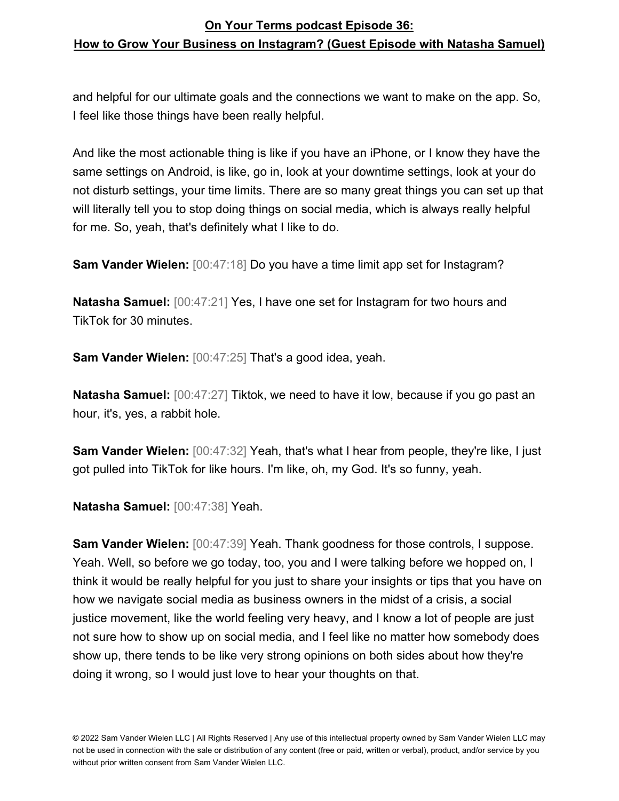#### **On Your Terms podcast Episode 36:**

#### **How to Grow Your Business on Instagram? (Guest Episode with Natasha Samuel)**

and helpful for our ultimate goals and the connections we want to make on the app. So, I feel like those things have been really helpful.

And like the most actionable thing is like if you have an iPhone, or I know they have the same settings on Android, is like, go in, look at your downtime settings, look at your do not disturb settings, your time limits. There are so many great things you can set up that will literally tell you to stop doing things on social media, which is always really helpful for me. So, yeah, that's definitely what I like to do.

**Sam Vander Wielen:** [00:47:18] Do you have a time limit app set for Instagram?

**Natasha Samuel:** [00:47:21] Yes, I have one set for Instagram for two hours and TikTok for 30 minutes.

**Sam Vander Wielen:** [00:47:25] That's a good idea, yeah.

**Natasha Samuel:** [00:47:27] Tiktok, we need to have it low, because if you go past an hour, it's, yes, a rabbit hole.

**Sam Vander Wielen:** [00:47:32] Yeah, that's what I hear from people, they're like, I just got pulled into TikTok for like hours. I'm like, oh, my God. It's so funny, yeah.

**Natasha Samuel:** [00:47:38] Yeah.

**Sam Vander Wielen:** [00:47:39] Yeah. Thank goodness for those controls, I suppose. Yeah. Well, so before we go today, too, you and I were talking before we hopped on, I think it would be really helpful for you just to share your insights or tips that you have on how we navigate social media as business owners in the midst of a crisis, a social justice movement, like the world feeling very heavy, and I know a lot of people are just not sure how to show up on social media, and I feel like no matter how somebody does show up, there tends to be like very strong opinions on both sides about how they're doing it wrong, so I would just love to hear your thoughts on that.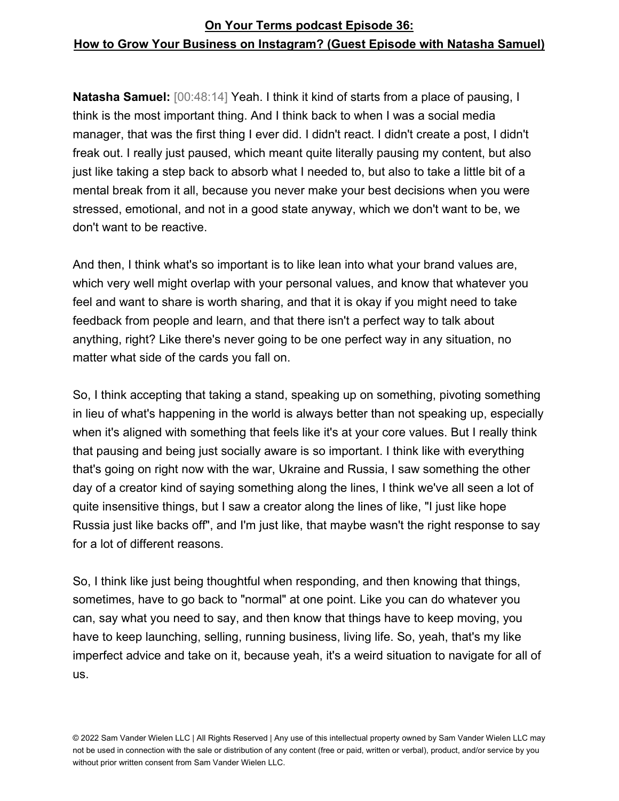**Natasha Samuel:** [00:48:14] Yeah. I think it kind of starts from a place of pausing, I think is the most important thing. And I think back to when I was a social media manager, that was the first thing I ever did. I didn't react. I didn't create a post, I didn't freak out. I really just paused, which meant quite literally pausing my content, but also just like taking a step back to absorb what I needed to, but also to take a little bit of a mental break from it all, because you never make your best decisions when you were stressed, emotional, and not in a good state anyway, which we don't want to be, we don't want to be reactive.

And then, I think what's so important is to like lean into what your brand values are, which very well might overlap with your personal values, and know that whatever you feel and want to share is worth sharing, and that it is okay if you might need to take feedback from people and learn, and that there isn't a perfect way to talk about anything, right? Like there's never going to be one perfect way in any situation, no matter what side of the cards you fall on.

So, I think accepting that taking a stand, speaking up on something, pivoting something in lieu of what's happening in the world is always better than not speaking up, especially when it's aligned with something that feels like it's at your core values. But I really think that pausing and being just socially aware is so important. I think like with everything that's going on right now with the war, Ukraine and Russia, I saw something the other day of a creator kind of saying something along the lines, I think we've all seen a lot of quite insensitive things, but I saw a creator along the lines of like, "I just like hope Russia just like backs off", and I'm just like, that maybe wasn't the right response to say for a lot of different reasons.

So, I think like just being thoughtful when responding, and then knowing that things, sometimes, have to go back to "normal" at one point. Like you can do whatever you can, say what you need to say, and then know that things have to keep moving, you have to keep launching, selling, running business, living life. So, yeah, that's my like imperfect advice and take on it, because yeah, it's a weird situation to navigate for all of us.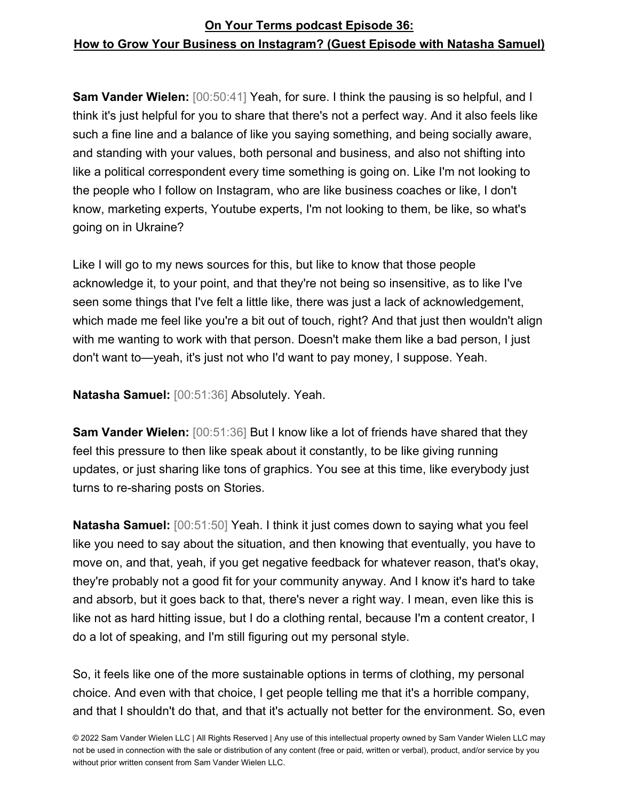**Sam Vander Wielen:**  $[00:50:41]$  Yeah, for sure. I think the pausing is so helpful, and I think it's just helpful for you to share that there's not a perfect way. And it also feels like such a fine line and a balance of like you saying something, and being socially aware, and standing with your values, both personal and business, and also not shifting into like a political correspondent every time something is going on. Like I'm not looking to the people who I follow on Instagram, who are like business coaches or like, I don't know, marketing experts, Youtube experts, I'm not looking to them, be like, so what's going on in Ukraine?

Like I will go to my news sources for this, but like to know that those people acknowledge it, to your point, and that they're not being so insensitive, as to like I've seen some things that I've felt a little like, there was just a lack of acknowledgement, which made me feel like you're a bit out of touch, right? And that just then wouldn't align with me wanting to work with that person. Doesn't make them like a bad person, I just don't want to—yeah, it's just not who I'd want to pay money, I suppose. Yeah.

**Natasha Samuel:** [00:51:36] Absolutely. Yeah.

**Sam Vander Wielen:** [00:51:36] But I know like a lot of friends have shared that they feel this pressure to then like speak about it constantly, to be like giving running updates, or just sharing like tons of graphics. You see at this time, like everybody just turns to re-sharing posts on Stories.

**Natasha Samuel:** [00:51:50] Yeah. I think it just comes down to saying what you feel like you need to say about the situation, and then knowing that eventually, you have to move on, and that, yeah, if you get negative feedback for whatever reason, that's okay, they're probably not a good fit for your community anyway. And I know it's hard to take and absorb, but it goes back to that, there's never a right way. I mean, even like this is like not as hard hitting issue, but I do a clothing rental, because I'm a content creator, I do a lot of speaking, and I'm still figuring out my personal style.

So, it feels like one of the more sustainable options in terms of clothing, my personal choice. And even with that choice, I get people telling me that it's a horrible company, and that I shouldn't do that, and that it's actually not better for the environment. So, even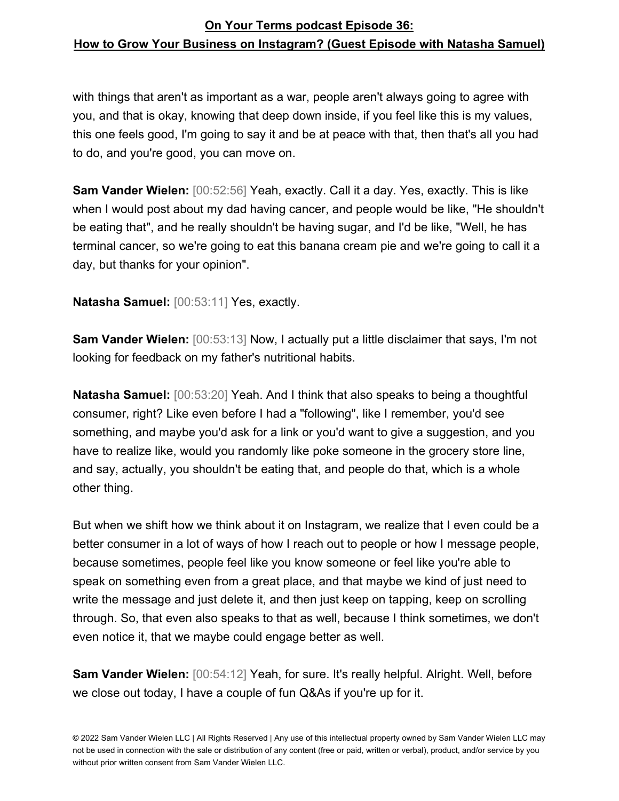with things that aren't as important as a war, people aren't always going to agree with you, and that is okay, knowing that deep down inside, if you feel like this is my values, this one feels good, I'm going to say it and be at peace with that, then that's all you had to do, and you're good, you can move on.

**Sam Vander Wielen:** [00:52:56] Yeah, exactly. Call it a day. Yes, exactly. This is like when I would post about my dad having cancer, and people would be like, "He shouldn't be eating that", and he really shouldn't be having sugar, and I'd be like, "Well, he has terminal cancer, so we're going to eat this banana cream pie and we're going to call it a day, but thanks for your opinion".

**Natasha Samuel:** [00:53:11] Yes, exactly.

**Sam Vander Wielen:** [00:53:13] Now, I actually put a little disclaimer that says, I'm not looking for feedback on my father's nutritional habits.

**Natasha Samuel:** [00:53:20] Yeah. And I think that also speaks to being a thoughtful consumer, right? Like even before I had a "following", like I remember, you'd see something, and maybe you'd ask for a link or you'd want to give a suggestion, and you have to realize like, would you randomly like poke someone in the grocery store line, and say, actually, you shouldn't be eating that, and people do that, which is a whole other thing.

But when we shift how we think about it on Instagram, we realize that I even could be a better consumer in a lot of ways of how I reach out to people or how I message people, because sometimes, people feel like you know someone or feel like you're able to speak on something even from a great place, and that maybe we kind of just need to write the message and just delete it, and then just keep on tapping, keep on scrolling through. So, that even also speaks to that as well, because I think sometimes, we don't even notice it, that we maybe could engage better as well.

**Sam Vander Wielen:** [00:54:12] Yeah, for sure. It's really helpful. Alright. Well, before we close out today, I have a couple of fun Q&As if you're up for it.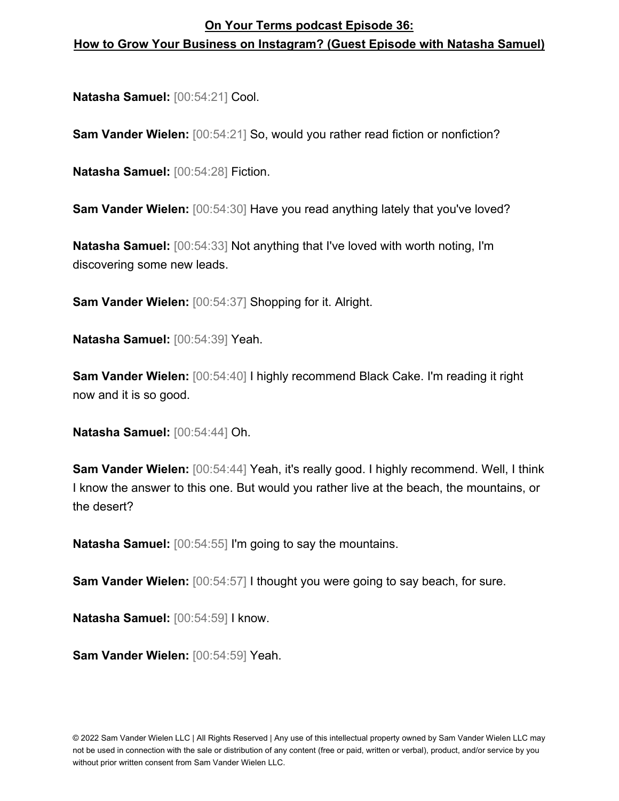**Natasha Samuel:** [00:54:21] Cool.

**Sam Vander Wielen:** [00:54:21] So, would you rather read fiction or nonfiction?

**Natasha Samuel:** [00:54:28] Fiction.

**Sam Vander Wielen:** [00:54:30] Have you read anything lately that you've loved?

**Natasha Samuel:** [00:54:33] Not anything that I've loved with worth noting, I'm discovering some new leads.

**Sam Vander Wielen:** [00:54:37] Shopping for it. Alright.

**Natasha Samuel:** [00:54:39] Yeah.

**Sam Vander Wielen:** [00:54:40] I highly recommend Black Cake. I'm reading it right now and it is so good.

**Natasha Samuel:** [00:54:44] Oh.

**Sam Vander Wielen:** [00:54:44] Yeah, it's really good. I highly recommend. Well, I think I know the answer to this one. But would you rather live at the beach, the mountains, or the desert?

**Natasha Samuel:** [00:54:55] I'm going to say the mountains.

**Sam Vander Wielen:** [00:54:57] I thought you were going to say beach, for sure.

**Natasha Samuel:** [00:54:59] I know.

**Sam Vander Wielen:** [00:54:59] Yeah.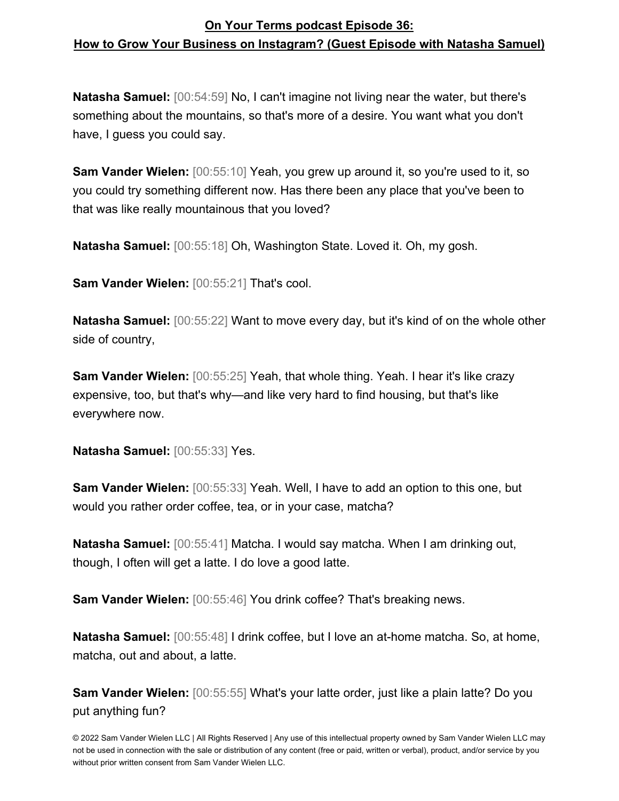**Natasha Samuel:** [00:54:59] No, I can't imagine not living near the water, but there's something about the mountains, so that's more of a desire. You want what you don't have, I guess you could say.

**Sam Vander Wielen:** [00:55:10] Yeah, you grew up around it, so you're used to it, so you could try something different now. Has there been any place that you've been to that was like really mountainous that you loved?

**Natasha Samuel:** [00:55:18] Oh, Washington State. Loved it. Oh, my gosh.

**Sam Vander Wielen:** [00:55:21] That's cool.

**Natasha Samuel:** [00:55:22] Want to move every day, but it's kind of on the whole other side of country,

**Sam Vander Wielen:** [00:55:25] Yeah, that whole thing. Yeah. I hear it's like crazy expensive, too, but that's why—and like very hard to find housing, but that's like everywhere now.

**Natasha Samuel:** [00:55:33] Yes.

**Sam Vander Wielen:** [00:55:33] Yeah. Well, I have to add an option to this one, but would you rather order coffee, tea, or in your case, matcha?

**Natasha Samuel:** [00:55:41] Matcha. I would say matcha. When I am drinking out, though, I often will get a latte. I do love a good latte.

**Sam Vander Wielen:** [00:55:46] You drink coffee? That's breaking news.

**Natasha Samuel:** [00:55:48] I drink coffee, but I love an at-home matcha. So, at home, matcha, out and about, a latte.

**Sam Vander Wielen:** [00:55:55] What's your latte order, just like a plain latte? Do you put anything fun?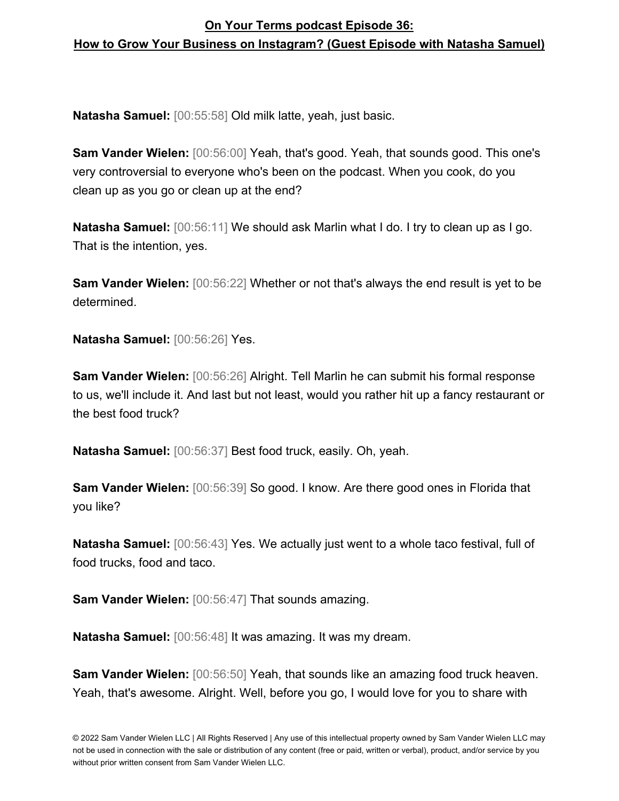**Natasha Samuel:** [00:55:58] Old milk latte, yeah, just basic.

**Sam Vander Wielen:** [00:56:00] Yeah, that's good. Yeah, that sounds good. This one's very controversial to everyone who's been on the podcast. When you cook, do you clean up as you go or clean up at the end?

**Natasha Samuel:** [00:56:11] We should ask Marlin what I do. I try to clean up as I go. That is the intention, yes.

**Sam Vander Wielen:** [00:56:22] Whether or not that's always the end result is yet to be determined.

**Natasha Samuel:** [00:56:26] Yes.

**Sam Vander Wielen:** [00:56:26] Alright. Tell Marlin he can submit his formal response to us, we'll include it. And last but not least, would you rather hit up a fancy restaurant or the best food truck?

**Natasha Samuel:** [00:56:37] Best food truck, easily. Oh, yeah.

**Sam Vander Wielen:** [00:56:39] So good. I know. Are there good ones in Florida that you like?

**Natasha Samuel:** [00:56:43] Yes. We actually just went to a whole taco festival, full of food trucks, food and taco.

**Sam Vander Wielen:** [00:56:47] That sounds amazing.

**Natasha Samuel:** [00:56:48] It was amazing. It was my dream.

**Sam Vander Wielen:** [00:56:50] Yeah, that sounds like an amazing food truck heaven. Yeah, that's awesome. Alright. Well, before you go, I would love for you to share with